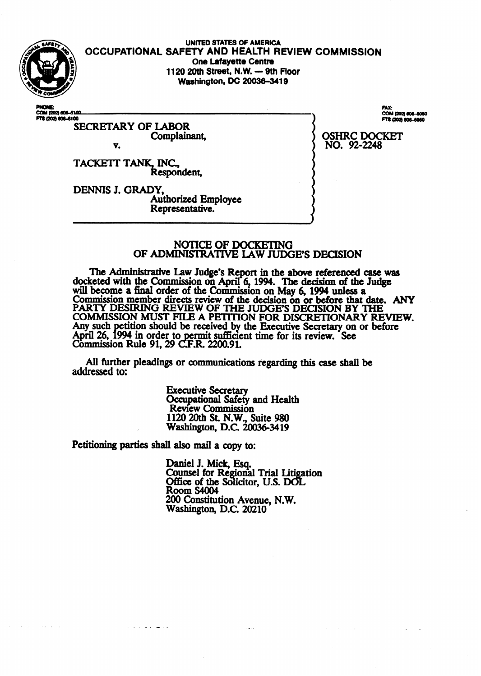

UNITED STATES OF AMERICA<br>OCCUPATIONAL SAFETY AND HEALTH REVIEW COMMISSION **One Lafavette Centre 1120 20th Street, N.W. - 9th Floor Washington, DC 20036-3419** 

**A100** COM (202)<br>**FTS (202) 6** 

SECRETARY OF LABOR complainant v.

**TACKETT TANK, INC., Respondent,** 

**DENNIS J. GRADY,**  Authorized Employee Representative.

FAX: **COM (202** FTS (202) 606-5050

**OSHRC DOCKET NO. 92-2248** 

### NOTICE OF DOCKETING OF ADMINISTRATIVE LAW JUDGE'S DECISION

The Administrative Law Judge's Report in the above referenced case was docketed with the Commission on April 6, 1994. The decision of the Judge will become **a** final order of the Commission on **May 6 1994 unless** a Commission member directs review **of** the decision on or **before that date. ANY PARTY DESIRING REVIEW OF THE JUDGE'S DECISION BY THE COMMISSION MUST FILE A PETITION FOR DISCRETIONARY REVIEW.**<br>Any such petition should be received by the Executive Secretary on or before April 26, 1994 in order to permit sufficient time for its review. See<br>Commission Rule 91, 29 C.F.R. 2200.91.

All further pleadings or communications regarding this case shall be addressed to:

> **Executive Secretary**  Occupational safety and **Health Review Commission 1120 20th St. N.W.,** Suite 980 Washington, D.C. 20036-3419

**Petitioning parties** shall also mail a copy to:

\_.

المتراسف الفاضا بالمنابذة

Daniel **J. Mick Esq.**  Counsel for **Regional Trial Litigation Office of the Solicitor, U.S. DOL**  $Room$  S4004 200 Constitution Avenue, **N.W. Washington, D.C.** 20210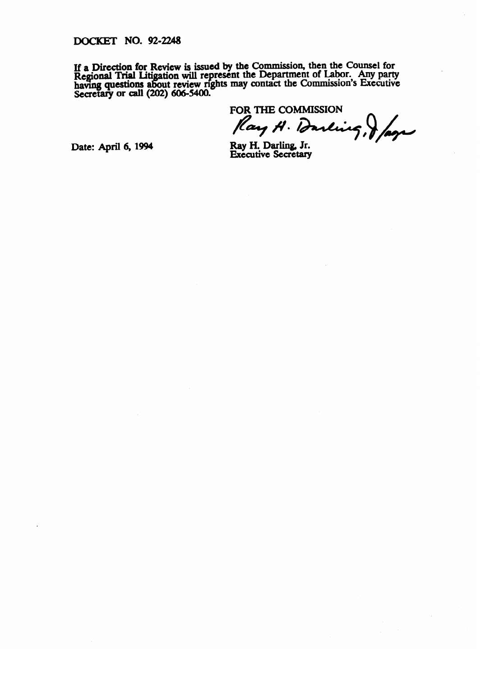**DOCKET NO. 92-2248** 

**If a Direction for Review is issued by** the Commission, then the Counsel for **Regional Inal Litigation will represent the Department of Labor. Any party Regional Indian Security** having questions about review rights may contact the Commission's Executive<br>Secretary or call (202) 606-5400 **secretary** or **call (202) 6064400.** 

**FOR THE COMMISSION**  *p* **p p** 

**Date: April 6, 1994** 

**Ray H. Darling, Jr. Executive Secretary**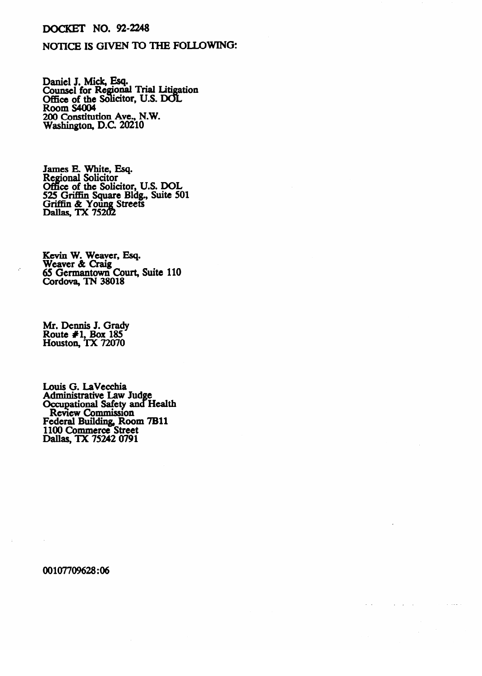## DOCKET NO. 92-238

# NOTICE IS GIVEN TO THE FOLLOWING:

Daniel J. Mick, Esq.<br>Conneel for Degional Counsel for Regional Trial Litigation **Office of the Solicitor, U.S. DO**<br>Room S4004 ROOM SHOOT<br>200 Constituti 200 Constitution Ave., N.W. Washington, D.C 20210

Regional Solicitor Office of the Solic 525 Griffin Square Bldg., Suite 50 Griffin & Young Streets izlEg !hii!?i%

Weaver & Craig 65 Germantown  $C$ ordova, TN 38018

Mr. Dennis J. Grady ROUIG #1, DUX 10J<br>Houston TY 72070  $\Gamma$ rousion, IA  $12010$ 

Louis G. LaVecchia **Communication** Safet Review Commission Federal Building, Room 7B11 100 Commerce Str Dallas, TX 75242 0791

 $\Delta \sim 100$ 

1100 Commerce Street

00107709628:06

 $\sim$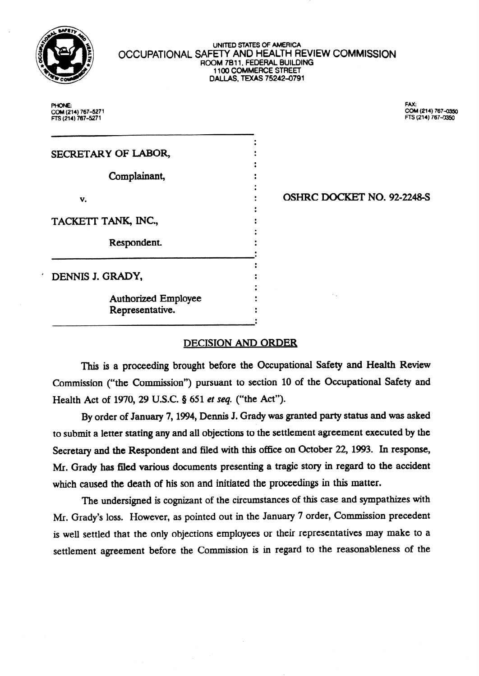

#### **UNITED STATES Of AMERICA**  OCCUPATIONAL SAFETY AND HEALTH REVIEW COMMISSION **ROOM 7811, FEDERAL BUILDING 1100 COMMERCE STREET DALLAS, TEXAS 75242-0791**

 $\bullet$ 

 $\ddot{\cdot}$ 

 $\ddot{\cdot}$ 

**PHONE: FM: FE (214) 167-5271 f=R (214) 767-fx350** 

**COM (214) m-5271 COM (214) ?67-** 

SECRETARY OF LABOR, Complainant, V. TACKETT TANK, INC., Respondent.

OSHRC DOCKET NO. 92-2248-S

DENNIS J. GRADY,

Authorized Employee Representative.

## DECISION AND ORDER

This is a proceeding brought before the Occupational Safety and Health Review Commission ("the Commission") pursuant to section 10 of the Occupational Safety and Health Act of 1970, 29 U.S.C. § 651 et seq. ("the Act").

By order of January 7,1994, Dennis J. Grady was granted party status and was asked to submit a letter stating any and all objections to the settlement agreement executed by the Secretary and the Respondent and filed with this office on October 22, 1993. In response, Mr. Grady has filed various documents presenting a tragic story in regard to the accident which caused the death of his son and initiated the proceedings in this matter.

The undersigned is cognizant of the circumstances of this case and sympathizes with Mr. Grady's loss. However, as pointed out in the January 7 order, Commission precedent is well settled that the only objections employees or their representatives may make to a settlement agreement before the Commission is in regard to the reasonableness of the